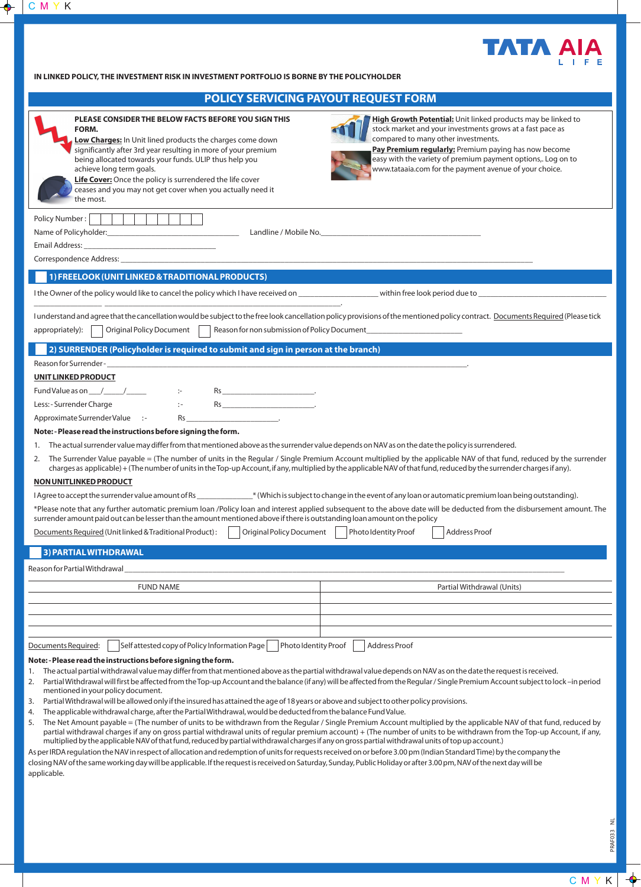

**IN LINKED POLICY, THE INVESTMENT RISK IN INVESTMENT PORTFOLIO IS BORNE BY THE POLICYHOLDER**

| POLICY SERVICING PAYOUT REQUEST FORM                                                                                                                                                                                                                                                                                                                                                                                                                                                                                                                                                                                                                                                                                                                                                                                                                                                                                                                                                                                                                                                                                                                                                                                                                                                                                                                                                                                                                                                                                                                                                                                    |                                                                                                                                                                                                                                                                                                                                                    |
|-------------------------------------------------------------------------------------------------------------------------------------------------------------------------------------------------------------------------------------------------------------------------------------------------------------------------------------------------------------------------------------------------------------------------------------------------------------------------------------------------------------------------------------------------------------------------------------------------------------------------------------------------------------------------------------------------------------------------------------------------------------------------------------------------------------------------------------------------------------------------------------------------------------------------------------------------------------------------------------------------------------------------------------------------------------------------------------------------------------------------------------------------------------------------------------------------------------------------------------------------------------------------------------------------------------------------------------------------------------------------------------------------------------------------------------------------------------------------------------------------------------------------------------------------------------------------------------------------------------------------|----------------------------------------------------------------------------------------------------------------------------------------------------------------------------------------------------------------------------------------------------------------------------------------------------------------------------------------------------|
| PLEASE CONSIDER THE BELOW FACTS BEFORE YOU SIGN THIS<br>FORM.<br>Low Charges: In Unit lined products the charges come down<br>significantly after 3rd year resulting in more of your premium<br>being allocated towards your funds. ULIP thus help you<br>achieve long term goals.<br>Life Cover: Once the policy is surrendered the life cover<br>ceases and you may not get cover when you actually need it<br>the most.                                                                                                                                                                                                                                                                                                                                                                                                                                                                                                                                                                                                                                                                                                                                                                                                                                                                                                                                                                                                                                                                                                                                                                                              | High Growth Potential: Unit linked products may be linked to<br>stock market and your investments grows at a fast pace as<br>compared to many other investments.<br>Pay Premium regularly: Premium paying has now become<br>easy with the variety of premium payment options,. Log on to<br>www.tataaia.com for the payment avenue of your choice. |
| Policy Number:  <br>Email Address: North and Second Communication of the Communication of the Communication of the Communication of the Communication of the Communication of the Communication of the Communication of the Communication of the C                                                                                                                                                                                                                                                                                                                                                                                                                                                                                                                                                                                                                                                                                                                                                                                                                                                                                                                                                                                                                                                                                                                                                                                                                                                                                                                                                                      |                                                                                                                                                                                                                                                                                                                                                    |
| 1) FREELOOK (UNIT LINKED & TRADITIONAL PRODUCTS)                                                                                                                                                                                                                                                                                                                                                                                                                                                                                                                                                                                                                                                                                                                                                                                                                                                                                                                                                                                                                                                                                                                                                                                                                                                                                                                                                                                                                                                                                                                                                                        |                                                                                                                                                                                                                                                                                                                                                    |
|                                                                                                                                                                                                                                                                                                                                                                                                                                                                                                                                                                                                                                                                                                                                                                                                                                                                                                                                                                                                                                                                                                                                                                                                                                                                                                                                                                                                                                                                                                                                                                                                                         |                                                                                                                                                                                                                                                                                                                                                    |
| I understand and agree that the cancellation would be subject to the free look cancellation policy provisions of the mentioned policy contract. Documents Required (Please tick<br>appropriately):<br>Original Policy Document                                                                                                                                                                                                                                                                                                                                                                                                                                                                                                                                                                                                                                                                                                                                                                                                                                                                                                                                                                                                                                                                                                                                                                                                                                                                                                                                                                                          |                                                                                                                                                                                                                                                                                                                                                    |
| 2) SURRENDER (Policyholder is required to submit and sign in person at the branch)                                                                                                                                                                                                                                                                                                                                                                                                                                                                                                                                                                                                                                                                                                                                                                                                                                                                                                                                                                                                                                                                                                                                                                                                                                                                                                                                                                                                                                                                                                                                      |                                                                                                                                                                                                                                                                                                                                                    |
| Reason for Surrender-<br>UNIT LINKED PRODUCT                                                                                                                                                                                                                                                                                                                                                                                                                                                                                                                                                                                                                                                                                                                                                                                                                                                                                                                                                                                                                                                                                                                                                                                                                                                                                                                                                                                                                                                                                                                                                                            |                                                                                                                                                                                                                                                                                                                                                    |
| $Rs$<br>Less: - Surrender Charge<br>$\mathbb{R}^n$<br><b>Contract Contract Contract Contract</b><br>Approximate Surrender Value :-<br>Rs<br>Note: - Please read the instructions before signing the form.<br>The actual surrender value may differ from that mentioned above as the surrender value depends on NAV as on the date the policy is surrendered.<br>1.<br>The Surrender Value payable = (The number of units in the Regular / Single Premium Account multiplied by the applicable NAV of that fund, reduced by the surrender<br>2.<br>charges as applicable) + (The number of units in the Top-up Account, if any, multiplied by the applicable NAV of that fund, reduced by the surrender charges if any).                                                                                                                                                                                                                                                                                                                                                                                                                                                                                                                                                                                                                                                                                                                                                                                                                                                                                                 |                                                                                                                                                                                                                                                                                                                                                    |
| NON UNITLINKED PRODUCT                                                                                                                                                                                                                                                                                                                                                                                                                                                                                                                                                                                                                                                                                                                                                                                                                                                                                                                                                                                                                                                                                                                                                                                                                                                                                                                                                                                                                                                                                                                                                                                                  |                                                                                                                                                                                                                                                                                                                                                    |
| I Agree to accept the surrender value amount of Rs ___________* (Which is subject to change in the event of any loan or automatic premium loan being outstanding).<br>*Please note that any further automatic premium loan /Policy loan and interest applied subsequent to the above date will be deducted from the disbursement amount. The<br>surrender amount paid out can be lesser than the amount mentioned above if there is outstanding loan amount on the policy<br>Documents Required (Unit linked & Traditional Product): Coriginal Policy Document Photo Identity Proof Address Proof                                                                                                                                                                                                                                                                                                                                                                                                                                                                                                                                                                                                                                                                                                                                                                                                                                                                                                                                                                                                                       |                                                                                                                                                                                                                                                                                                                                                    |
|                                                                                                                                                                                                                                                                                                                                                                                                                                                                                                                                                                                                                                                                                                                                                                                                                                                                                                                                                                                                                                                                                                                                                                                                                                                                                                                                                                                                                                                                                                                                                                                                                         |                                                                                                                                                                                                                                                                                                                                                    |
| 3) PARTIAL WITHDRAWAL                                                                                                                                                                                                                                                                                                                                                                                                                                                                                                                                                                                                                                                                                                                                                                                                                                                                                                                                                                                                                                                                                                                                                                                                                                                                                                                                                                                                                                                                                                                                                                                                   |                                                                                                                                                                                                                                                                                                                                                    |
| Reason for Partial Withdrawal                                                                                                                                                                                                                                                                                                                                                                                                                                                                                                                                                                                                                                                                                                                                                                                                                                                                                                                                                                                                                                                                                                                                                                                                                                                                                                                                                                                                                                                                                                                                                                                           |                                                                                                                                                                                                                                                                                                                                                    |
| <b>FUND NAME</b>                                                                                                                                                                                                                                                                                                                                                                                                                                                                                                                                                                                                                                                                                                                                                                                                                                                                                                                                                                                                                                                                                                                                                                                                                                                                                                                                                                                                                                                                                                                                                                                                        | Partial Withdrawal (Units)                                                                                                                                                                                                                                                                                                                         |
|                                                                                                                                                                                                                                                                                                                                                                                                                                                                                                                                                                                                                                                                                                                                                                                                                                                                                                                                                                                                                                                                                                                                                                                                                                                                                                                                                                                                                                                                                                                                                                                                                         |                                                                                                                                                                                                                                                                                                                                                    |
|                                                                                                                                                                                                                                                                                                                                                                                                                                                                                                                                                                                                                                                                                                                                                                                                                                                                                                                                                                                                                                                                                                                                                                                                                                                                                                                                                                                                                                                                                                                                                                                                                         |                                                                                                                                                                                                                                                                                                                                                    |
|                                                                                                                                                                                                                                                                                                                                                                                                                                                                                                                                                                                                                                                                                                                                                                                                                                                                                                                                                                                                                                                                                                                                                                                                                                                                                                                                                                                                                                                                                                                                                                                                                         |                                                                                                                                                                                                                                                                                                                                                    |
| Self attested copy of Policy Information Page<br>Photo Identity Proof<br>Documents Required:                                                                                                                                                                                                                                                                                                                                                                                                                                                                                                                                                                                                                                                                                                                                                                                                                                                                                                                                                                                                                                                                                                                                                                                                                                                                                                                                                                                                                                                                                                                            | <b>Address Proof</b>                                                                                                                                                                                                                                                                                                                               |
| Note: - Please read the instructions before signing the form.<br>1. The actual partial withdrawal value may differ from that mentioned above as the partial withdrawal value depends on NAV as on the date the request is received.<br>Partial Withdrawal will first be affected from the Top-up Account and the balance (if any) will be affected from the Regular / Single Premium Account subject to lock -in period<br>2.<br>mentioned in your policy document.<br>Partial Withdrawal will be allowed only if the insured has attained the age of 18 years or above and subject to other policy provisions.<br>3.<br>The applicable withdrawal charge, after the Partial Withdrawal, would be deducted from the balance Fund Value.<br>4.<br>The Net Amount payable = (The number of units to be withdrawn from the Regular / Single Premium Account multiplied by the applicable NAV of that fund, reduced by<br>5.<br>partial withdrawal charges if any on gross partial withdrawal units of regular premium account) + (The number of units to be withdrawn from the Top-up Account, if any,<br>multiplied by the applicable NAV of that fund, reduced by partial withdrawal charges if any on gross partial withdrawal units of top up account.)<br>As per IRDA regulation the NAV in respect of allocation and redemption of units for requests received on or before 3.00 pm (Indian Standard Time) by the company the<br>closing NAV of the same working day will be applicable. If the request is received on Saturday, Sunday, Public Holiday or after 3.00 pm, NAV of the next day will be<br>applicable. |                                                                                                                                                                                                                                                                                                                                                    |